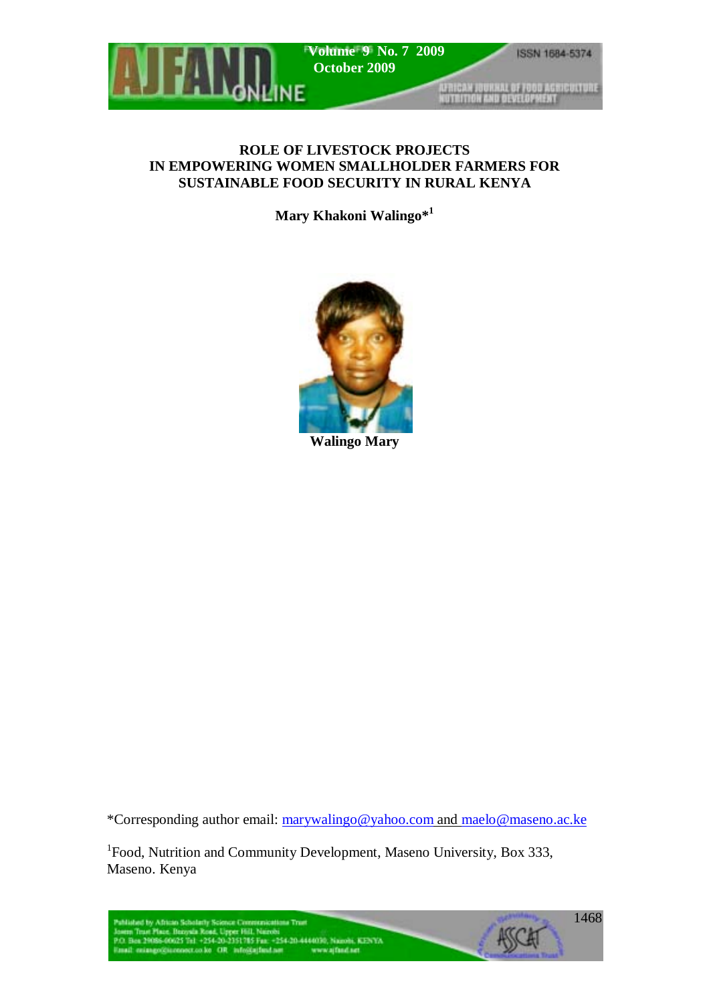

## **ROLE OF LIVESTOCK PROJECTS IN EMPOWERING WOMEN SMALLHOLDER FARMERS FOR SUSTAINABLE FOOD SECURITY IN RURAL KENYA**

**Mary Khakoni Walingo\*<sup>1</sup>**



**Walingo Mary** 

\*Corresponding author email: marywalingo@yahoo.com and maelo@maseno.ac.ke

<sup>1</sup>Food, Nutrition and Community Development, Maseno University, Box 333, Maseno. Kenya

Published by African Scholarly Science Communications Trust<br>Josem Trust Place, Brazysla Road, Upper Hill, Narobi<br>P.O. Box 29086-00025 Tel. +254-20-2351715 Fax: +254-20-4444030, Nazobi, KENYA<br>Email: eniango@iconnect.co.ke \_

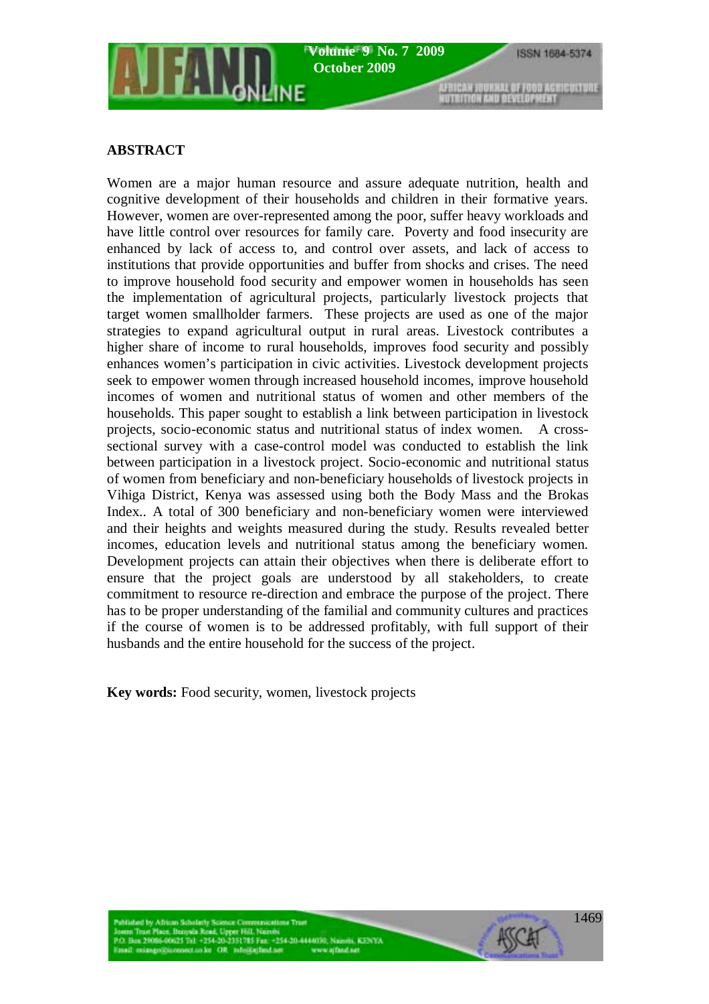

### **ABSTRACT**

Women are a major human resource and assure adequate nutrition, health and cognitive development of their households and children in their formative years. However, women are over-represented among the poor, suffer heavy workloads and have little control over resources for family care. Poverty and food insecurity are enhanced by lack of access to, and control over assets, and lack of access to institutions that provide opportunities and buffer from shocks and crises. The need to improve household food security and empower women in households has seen the implementation of agricultural projects, particularly livestock projects that target women smallholder farmers. These projects are used as one of the major strategies to expand agricultural output in rural areas. Livestock contributes a higher share of income to rural households, improves food security and possibly enhances women's participation in civic activities. Livestock development projects seek to empower women through increased household incomes, improve household incomes of women and nutritional status of women and other members of the households. This paper sought to establish a link between participation in livestock projects, socio-economic status and nutritional status of index women. A crosssectional survey with a case-control model was conducted to establish the link between participation in a livestock project. Socio-economic and nutritional status of women from beneficiary and non-beneficiary households of livestock projects in Vihiga District, Kenya was assessed using both the Body Mass and the Brokas Index.. A total of 300 beneficiary and non-beneficiary women were interviewed and their heights and weights measured during the study. Results revealed better incomes, education levels and nutritional status among the beneficiary women. Development projects can attain their objectives when there is deliberate effort to ensure that the project goals are understood by all stakeholders, to create commitment to resource re-direction and embrace the purpose of the project. There has to be proper understanding of the familial and community cultures and practices if the course of women is to be addressed profitably, with full support of their husbands and the entire household for the success of the project.

**Key words:** Food security, women, livestock projects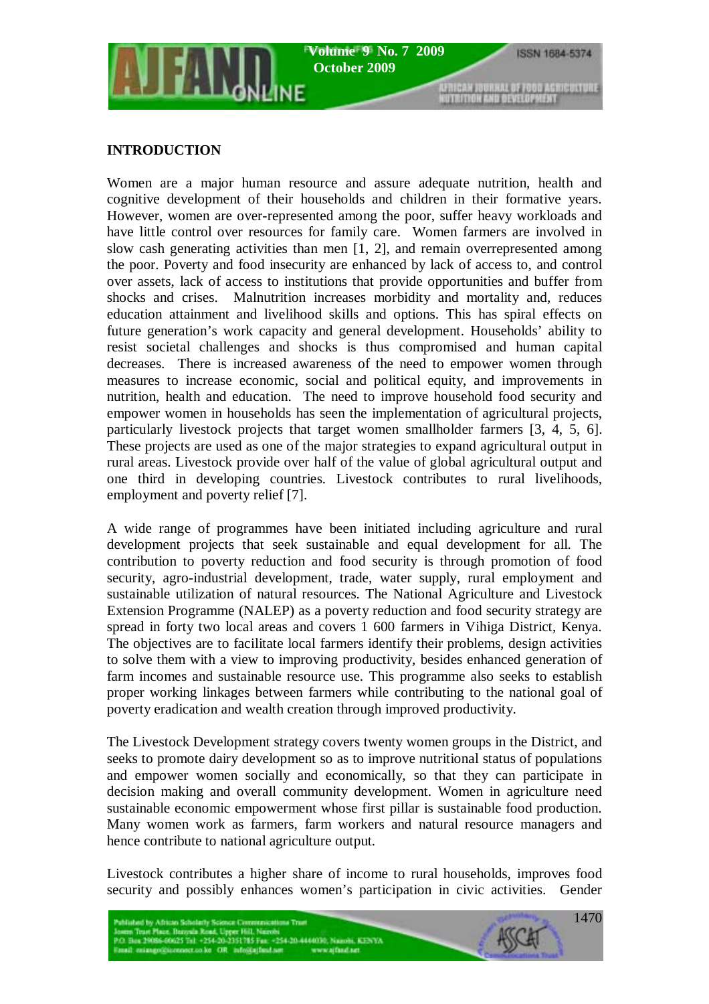

## **INTRODUCTION**

Women are a major human resource and assure adequate nutrition, health and cognitive development of their households and children in their formative years. However, women are over-represented among the poor, suffer heavy workloads and have little control over resources for family care. Women farmers are involved in slow cash generating activities than men [1, 2], and remain overrepresented among the poor. Poverty and food insecurity are enhanced by lack of access to, and control over assets, lack of access to institutions that provide opportunities and buffer from shocks and crises. Malnutrition increases morbidity and mortality and, reduces education attainment and livelihood skills and options. This has spiral effects on future generation's work capacity and general development. Households' ability to resist societal challenges and shocks is thus compromised and human capital decreases. There is increased awareness of the need to empower women through measures to increase economic, social and political equity, and improvements in nutrition, health and education. The need to improve household food security and empower women in households has seen the implementation of agricultural projects, particularly livestock projects that target women smallholder farmers [3, 4, 5, 6]. These projects are used as one of the major strategies to expand agricultural output in rural areas. Livestock provide over half of the value of global agricultural output and one third in developing countries. Livestock contributes to rural livelihoods, employment and poverty relief [7].

A wide range of programmes have been initiated including agriculture and rural development projects that seek sustainable and equal development for all. The contribution to poverty reduction and food security is through promotion of food security, agro-industrial development, trade, water supply, rural employment and sustainable utilization of natural resources. The National Agriculture and Livestock Extension Programme (NALEP) as a poverty reduction and food security strategy are spread in forty two local areas and covers 1 600 farmers in Vihiga District, Kenya. The objectives are to facilitate local farmers identify their problems, design activities to solve them with a view to improving productivity, besides enhanced generation of farm incomes and sustainable resource use. This programme also seeks to establish proper working linkages between farmers while contributing to the national goal of poverty eradication and wealth creation through improved productivity.

The Livestock Development strategy covers twenty women groups in the District, and seeks to promote dairy development so as to improve nutritional status of populations and empower women socially and economically, so that they can participate in decision making and overall community development. Women in agriculture need sustainable economic empowerment whose first pillar is sustainable food production. Many women work as farmers, farm workers and natural resource managers and hence contribute to national agriculture output.

Livestock contributes a higher share of income to rural households, improves food security and possibly enhances women's participation in civic activities. Gender

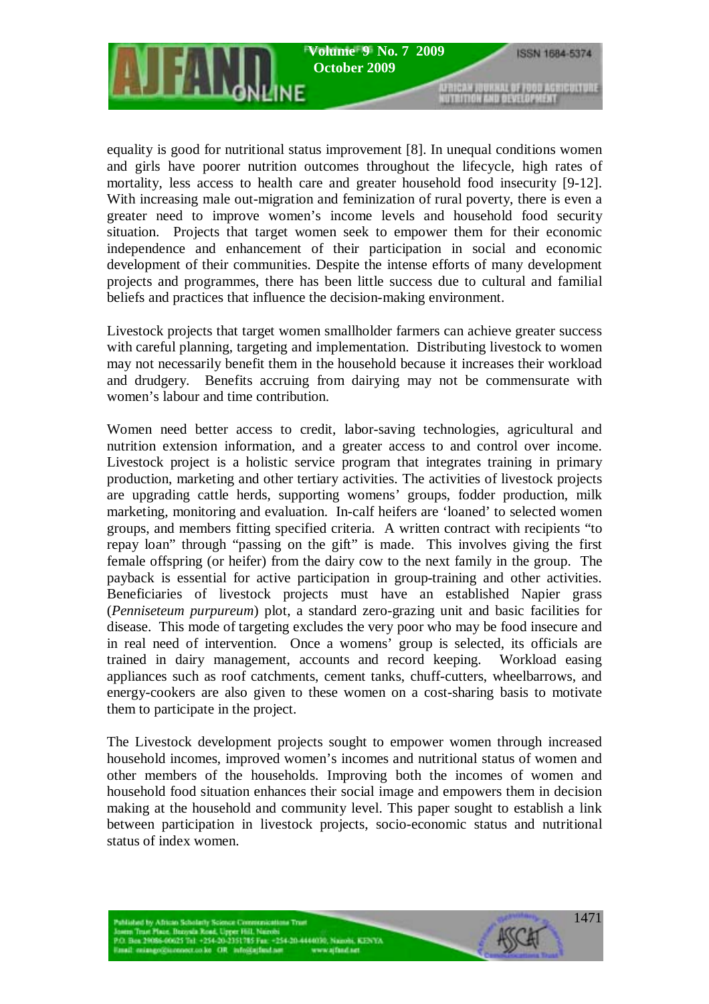AFRICAN JOURNAL OF FOOD AGRICULTURE<br>NUTRITION AND DEVELOPMENT

equality is good for nutritional status improvement [8]. In unequal conditions women and girls have poorer nutrition outcomes throughout the lifecycle, high rates of mortality, less access to health care and greater household food insecurity [9-12]. With increasing male out-migration and feminization of rural poverty, there is even a greater need to improve women's income levels and household food security situation. Projects that target women seek to empower them for their economic independence and enhancement of their participation in social and economic development of their communities. Despite the intense efforts of many development projects and programmes, there has been little success due to cultural and familial beliefs and practices that influence the decision-making environment.

Livestock projects that target women smallholder farmers can achieve greater success with careful planning, targeting and implementation. Distributing livestock to women may not necessarily benefit them in the household because it increases their workload and drudgery. Benefits accruing from dairying may not be commensurate with women's labour and time contribution.

Women need better access to credit, labor-saving technologies, agricultural and nutrition extension information, and a greater access to and control over income. Livestock project is a holistic service program that integrates training in primary production, marketing and other tertiary activities. The activities of livestock projects are upgrading cattle herds, supporting womens' groups, fodder production, milk marketing, monitoring and evaluation. In-calf heifers are 'loaned' to selected women groups, and members fitting specified criteria. A written contract with recipients "to repay loan" through "passing on the gift" is made. This involves giving the first female offspring (or heifer) from the dairy cow to the next family in the group. The payback is essential for active participation in group-training and other activities. Beneficiaries of livestock projects must have an established Napier grass (*Penniseteum purpureum*) plot, a standard zero-grazing unit and basic facilities for disease. This mode of targeting excludes the very poor who may be food insecure and in real need of intervention. Once a womens' group is selected, its officials are trained in dairy management, accounts and record keeping. Workload easing appliances such as roof catchments, cement tanks, chuff-cutters, wheelbarrows, and energy-cookers are also given to these women on a cost-sharing basis to motivate them to participate in the project.

The Livestock development projects sought to empower women through increased household incomes, improved women's incomes and nutritional status of women and other members of the households. Improving both the incomes of women and household food situation enhances their social image and empowers them in decision making at the household and community level. This paper sought to establish a link between participation in livestock projects, socio-economic status and nutritional status of index women.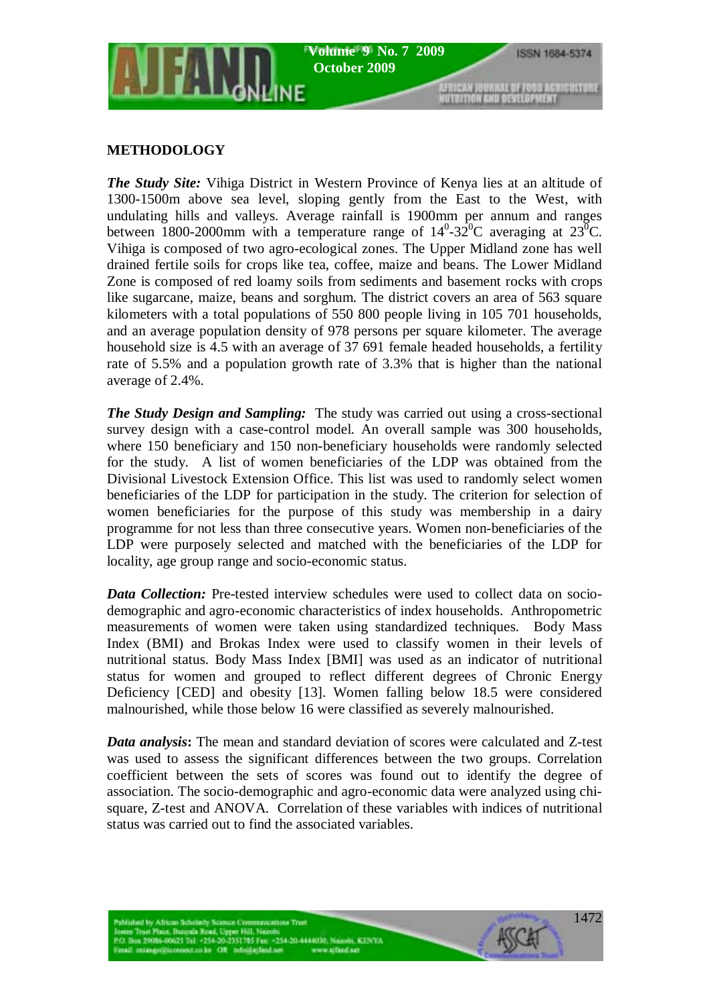

# **METHODOLOGY**

*The Study Site:* Vihiga District in Western Province of Kenya lies at an altitude of 1300-1500m above sea level, sloping gently from the East to the West, with undulating hills and valleys. Average rainfall is 1900mm per annum and ranges between 1800-2000mm with a temperature range of  $14^0$ -32<sup>0</sup>C averaging at 23<sup>0</sup>C. Vihiga is composed of two agro-ecological zones. The Upper Midland zone has well drained fertile soils for crops like tea, coffee, maize and beans. The Lower Midland Zone is composed of red loamy soils from sediments and basement rocks with crops like sugarcane, maize, beans and sorghum. The district covers an area of 563 square kilometers with a total populations of 550 800 people living in 105 701 households, and an average population density of 978 persons per square kilometer. The average household size is 4.5 with an average of 37 691 female headed households, a fertility rate of 5.5% and a population growth rate of 3.3% that is higher than the national average of 2.4%.

*The Study Design and Sampling:* The study was carried out using a cross-sectional survey design with a case-control model. An overall sample was 300 households, where 150 beneficiary and 150 non-beneficiary households were randomly selected for the study. A list of women beneficiaries of the LDP was obtained from the Divisional Livestock Extension Office. This list was used to randomly select women beneficiaries of the LDP for participation in the study. The criterion for selection of women beneficiaries for the purpose of this study was membership in a dairy programme for not less than three consecutive years. Women non-beneficiaries of the LDP were purposely selected and matched with the beneficiaries of the LDP for locality, age group range and socio-economic status.

*Data Collection:* Pre-tested interview schedules were used to collect data on sociodemographic and agro-economic characteristics of index households. Anthropometric measurements of women were taken using standardized techniques. Body Mass Index (BMI) and Brokas Index were used to classify women in their levels of nutritional status. Body Mass Index [BMI] was used as an indicator of nutritional status for women and grouped to reflect different degrees of Chronic Energy Deficiency [CED] and obesity [13]. Women falling below 18.5 were considered malnourished, while those below 16 were classified as severely malnourished.

*Data analysis***:** The mean and standard deviation of scores were calculated and Z-test was used to assess the significant differences between the two groups. Correlation coefficient between the sets of scores was found out to identify the degree of association. The socio-demographic and agro-economic data were analyzed using chisquare, Z-test and ANOVA. Correlation of these variables with indices of nutritional status was carried out to find the associated variables.

n Trust Place, Berryala Road, Upper Hill, Narrobi<br>Bon 29086-00025 Tel. +254-20-2351715 Fax: +254-20-4444030, Narrobi, KENYX mingo@iconect.co.ke OR info@ajfied.net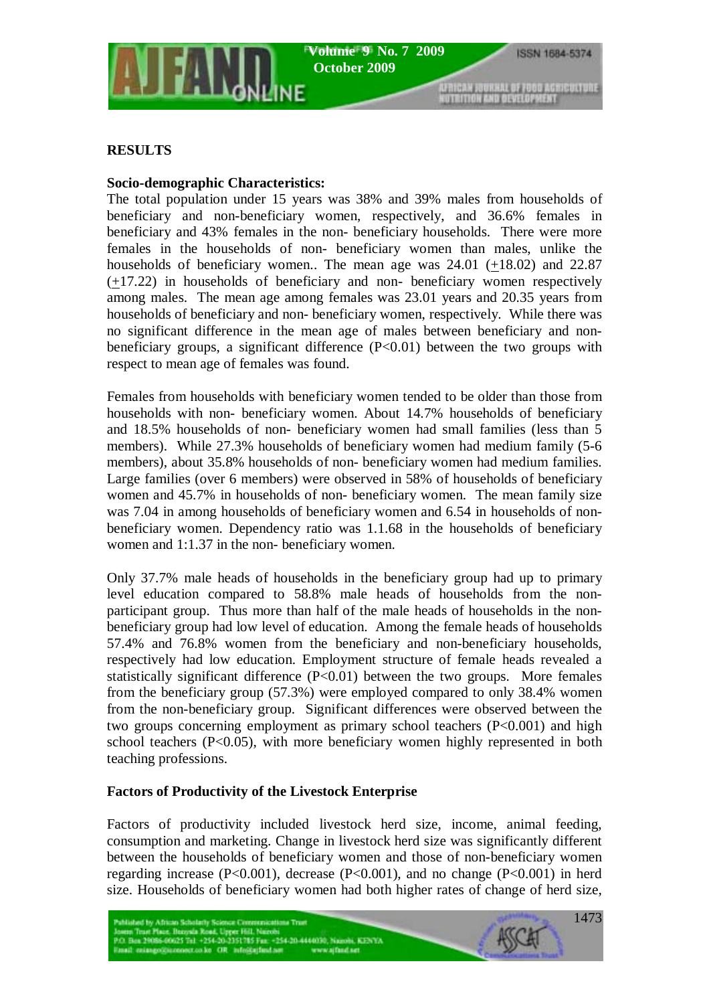# **RESULTS**

# **Socio-demographic Characteristics:**

The total population under 15 years was 38% and 39% males from households of beneficiary and non-beneficiary women, respectively, and 36.6% females in beneficiary and 43% females in the non- beneficiary households. There were more females in the households of non- beneficiary women than males, unlike the households of beneficiary women.. The mean age was  $24.01$  ( $\pm$ 18.02) and 22.87 (+17.22) in households of beneficiary and non- beneficiary women respectively among males. The mean age among females was 23.01 years and 20.35 years from households of beneficiary and non- beneficiary women, respectively. While there was no significant difference in the mean age of males between beneficiary and nonbeneficiary groups, a significant difference  $(P<0.01)$  between the two groups with respect to mean age of females was found.

Females from households with beneficiary women tended to be older than those from households with non- beneficiary women. About 14.7% households of beneficiary and 18.5% households of non- beneficiary women had small families (less than 5 members). While 27.3% households of beneficiary women had medium family (5-6 members), about 35.8% households of non- beneficiary women had medium families. Large families (over 6 members) were observed in 58% of households of beneficiary women and 45.7% in households of non- beneficiary women. The mean family size was 7.04 in among households of beneficiary women and 6.54 in households of nonbeneficiary women. Dependency ratio was 1.1.68 in the households of beneficiary women and 1:1.37 in the non- beneficiary women.

Only 37.7% male heads of households in the beneficiary group had up to primary level education compared to 58.8% male heads of households from the nonparticipant group. Thus more than half of the male heads of households in the nonbeneficiary group had low level of education. Among the female heads of households 57.4% and 76.8% women from the beneficiary and non-beneficiary households, respectively had low education. Employment structure of female heads revealed a statistically significant difference  $(P<0.01)$  between the two groups. More females from the beneficiary group (57.3%) were employed compared to only 38.4% women from the non-beneficiary group. Significant differences were observed between the two groups concerning employment as primary school teachers (P<0.001) and high school teachers  $(P<0.05)$ , with more beneficiary women highly represented in both teaching professions.

# **Factors of Productivity of the Livestock Enterprise**

Factors of productivity included livestock herd size, income, animal feeding, consumption and marketing. Change in livestock herd size was significantly different between the households of beneficiary women and those of non-beneficiary women regarding increase (P<0.001), decrease (P<0.001), and no change (P<0.001) in herd size. Households of beneficiary women had both higher rates of change of herd size,

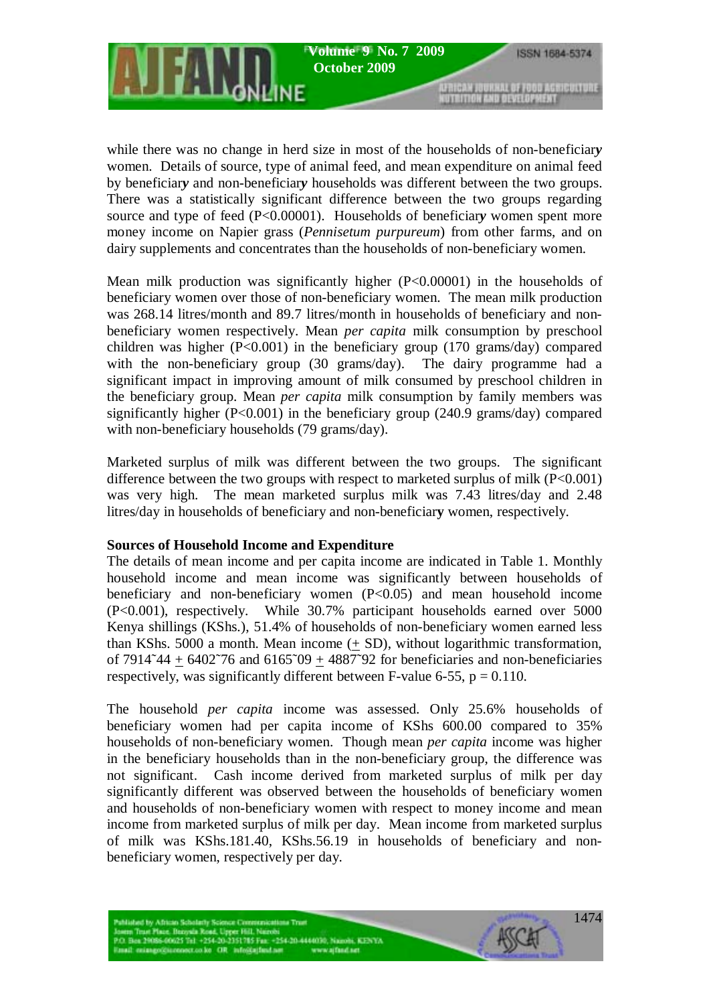

while there was no change in herd size in most of the households of non-beneficiar*y* women. Details of source, type of animal feed, and mean expenditure on animal feed by beneficiar*y* and non-beneficiar*y* households was different between the two groups. There was a statistically significant difference between the two groups regarding source and type of feed (P<0.00001). Households of beneficiar*y* women spent more money income on Napier grass (*Pennisetum purpureum*) from other farms, and on dairy supplements and concentrates than the households of non-beneficiary women.

Mean milk production was significantly higher (P<0.00001) in the households of beneficiary women over those of non-beneficiary women. The mean milk production was 268.14 litres/month and 89.7 litres/month in households of beneficiary and nonbeneficiary women respectively. Mean *per capita* milk consumption by preschool children was higher  $(P<0.001)$  in the beneficiary group (170 grams/day) compared with the non-beneficiary group (30 grams/day). The dairy programme had a significant impact in improving amount of milk consumed by preschool children in the beneficiary group. Mean *per capita* milk consumption by family members was significantly higher  $(P<0.001)$  in the beneficiary group (240.9 grams/day) compared with non-beneficiary households (79 grams/day).

Marketed surplus of milk was different between the two groups. The significant difference between the two groups with respect to marketed surplus of milk  $(P<0.001)$ was very high. The mean marketed surplus milk was 7.43 litres/day and 2.48 litres/day in households of beneficiary and non-beneficiar**y** women, respectively.

### **Sources of Household Income and Expenditure**

The details of mean income and per capita income are indicated in Table 1. Monthly household income and mean income was significantly between households of beneficiary and non-beneficiary women (P<0.05) and mean household income (P<0.001), respectively. While 30.7% participant households earned over 5000 Kenya shillings (KShs.), 51.4% of households of non-beneficiary women earned less than KShs. 5000 a month. Mean income (+ SD), without logarithmic transformation, of  $7914^{\degree}44 + 6402^{\degree}76$  and  $6165^{\degree}09 + 4887^{\degree}92$  for beneficiaries and non-beneficiaries respectively, was significantly different between F-value 6-55,  $p = 0.110$ .

The household *per capita* income was assessed. Only 25.6% households of beneficiary women had per capita income of KShs 600.00 compared to 35% households of non-beneficiary women. Though mean *per capita* income was higher in the beneficiary households than in the non-beneficiary group, the difference was not significant. Cash income derived from marketed surplus of milk per day significantly different was observed between the households of beneficiary women and households of non-beneficiary women with respect to money income and mean income from marketed surplus of milk per day. Mean income from marketed surplus of milk was KShs.181.40, KShs.56.19 in households of beneficiary and nonbeneficiary women, respectively per day.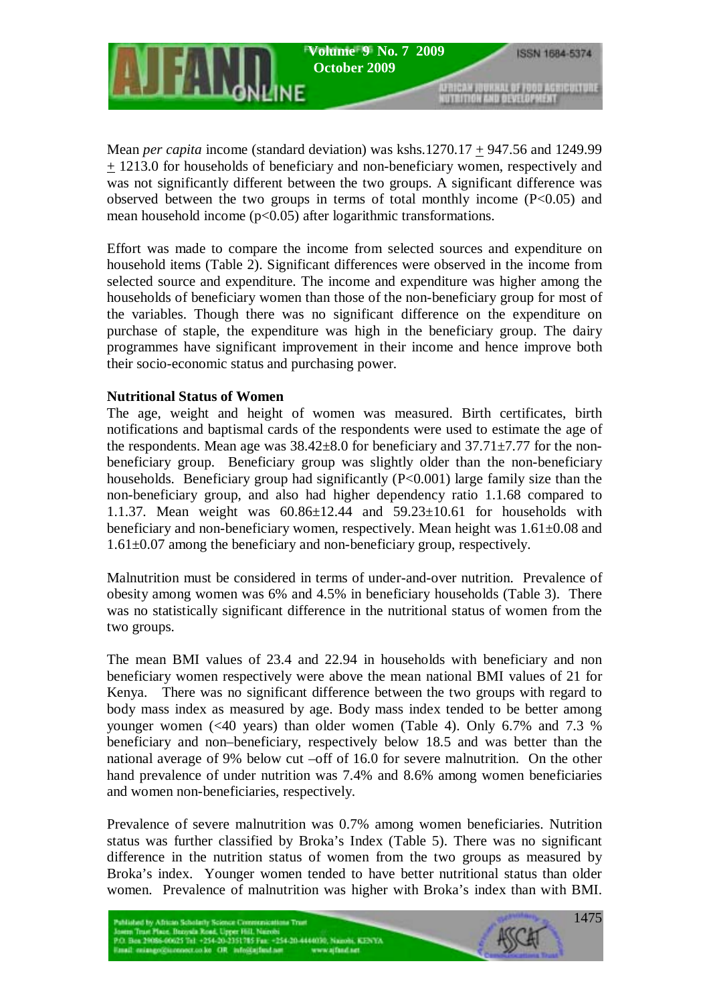

Mean *per capita* income (standard deviation) was kshs.1270.17 + 947.56 and 1249.99 + 1213.0 for households of beneficiary and non-beneficiary women, respectively and was not significantly different between the two groups. A significant difference was observed between the two groups in terms of total monthly income  $(P<0.05)$  and mean household income  $(p<0.05)$  after logarithmic transformations.

Effort was made to compare the income from selected sources and expenditure on household items (Table 2). Significant differences were observed in the income from selected source and expenditure. The income and expenditure was higher among the households of beneficiary women than those of the non-beneficiary group for most of the variables. Though there was no significant difference on the expenditure on purchase of staple, the expenditure was high in the beneficiary group. The dairy programmes have significant improvement in their income and hence improve both their socio-economic status and purchasing power.

## **Nutritional Status of Women**

The age, weight and height of women was measured. Birth certificates, birth notifications and baptismal cards of the respondents were used to estimate the age of the respondents. Mean age was  $38.42 \pm 8.0$  for beneficiary and  $37.71 \pm 7.77$  for the nonbeneficiary group. Beneficiary group was slightly older than the non-beneficiary households. Beneficiary group had significantly (P<0.001) large family size than the non-beneficiary group, and also had higher dependency ratio 1.1.68 compared to 1.1.37. Mean weight was  $60.86 \pm 12.44$  and  $59.23 \pm 10.61$  for households with beneficiary and non-beneficiary women, respectively. Mean height was 1.61±0.08 and 1.61±0.07 among the beneficiary and non-beneficiary group, respectively.

Malnutrition must be considered in terms of under-and-over nutrition. Prevalence of obesity among women was 6% and 4.5% in beneficiary households (Table 3). There was no statistically significant difference in the nutritional status of women from the two groups.

The mean BMI values of 23.4 and 22.94 in households with beneficiary and non beneficiary women respectively were above the mean national BMI values of 21 for Kenya. There was no significant difference between the two groups with regard to body mass index as measured by age. Body mass index tended to be better among younger women (<40 years) than older women (Table 4). Only 6.7% and 7.3 % beneficiary and non–beneficiary, respectively below 18.5 and was better than the national average of 9% below cut –off of 16.0 for severe malnutrition. On the other hand prevalence of under nutrition was 7.4% and 8.6% among women beneficiaries and women non-beneficiaries, respectively.

Prevalence of severe malnutrition was 0.7% among women beneficiaries. Nutrition status was further classified by Broka's Index (Table 5). There was no significant difference in the nutrition status of women from the two groups as measured by Broka's index. Younger women tended to have better nutritional status than older women. Prevalence of malnutrition was higher with Broka's index than with BMI.

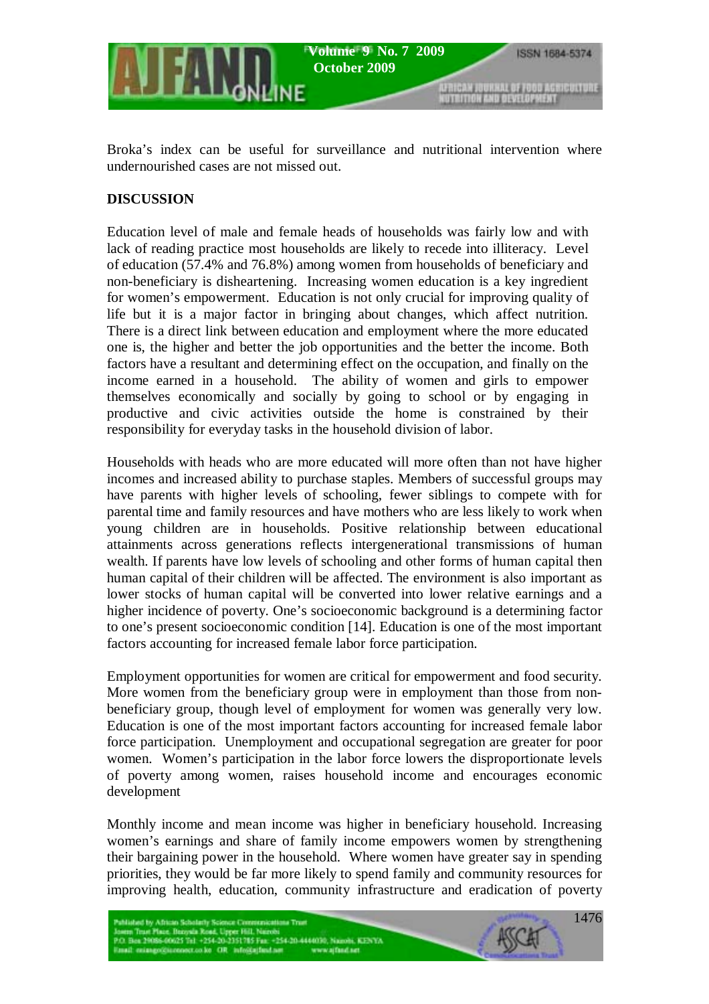

Broka's index can be useful for surveillance and nutritional intervention where undernourished cases are not missed out.

# **DISCUSSION**

Education level of male and female heads of households was fairly low and with lack of reading practice most households are likely to recede into illiteracy. Level of education (57.4% and 76.8%) among women from households of beneficiary and non-beneficiary is disheartening. Increasing women education is a key ingredient for women's empowerment. Education is not only crucial for improving quality of life but it is a major factor in bringing about changes, which affect nutrition. There is a direct link between education and employment where the more educated one is, the higher and better the job opportunities and the better the income. Both factors have a resultant and determining effect on the occupation, and finally on the income earned in a household. The ability of women and girls to empower themselves economically and socially by going to school or by engaging in productive and civic activities outside the home is constrained by their responsibility for everyday tasks in the household division of labor.

Households with heads who are more educated will more often than not have higher incomes and increased ability to purchase staples. Members of successful groups may have parents with higher levels of schooling, fewer siblings to compete with for parental time and family resources and have mothers who are less likely to work when young children are in households. Positive relationship between educational attainments across generations reflects intergenerational transmissions of human wealth. If parents have low levels of schooling and other forms of human capital then human capital of their children will be affected. The environment is also important as lower stocks of human capital will be converted into lower relative earnings and a higher incidence of poverty. One's socioeconomic background is a determining factor to one's present socioeconomic condition [14]. Education is one of the most important factors accounting for increased female labor force participation.

Employment opportunities for women are critical for empowerment and food security. More women from the beneficiary group were in employment than those from nonbeneficiary group, though level of employment for women was generally very low. Education is one of the most important factors accounting for increased female labor force participation. Unemployment and occupational segregation are greater for poor women. Women's participation in the labor force lowers the disproportionate levels of poverty among women, raises household income and encourages economic development

Monthly income and mean income was higher in beneficiary household. Increasing women's earnings and share of family income empowers women by strengthening their bargaining power in the household. Where women have greater say in spending priorities, they would be far more likely to spend family and community resources for improving health, education, community infrastructure and eradication of poverty

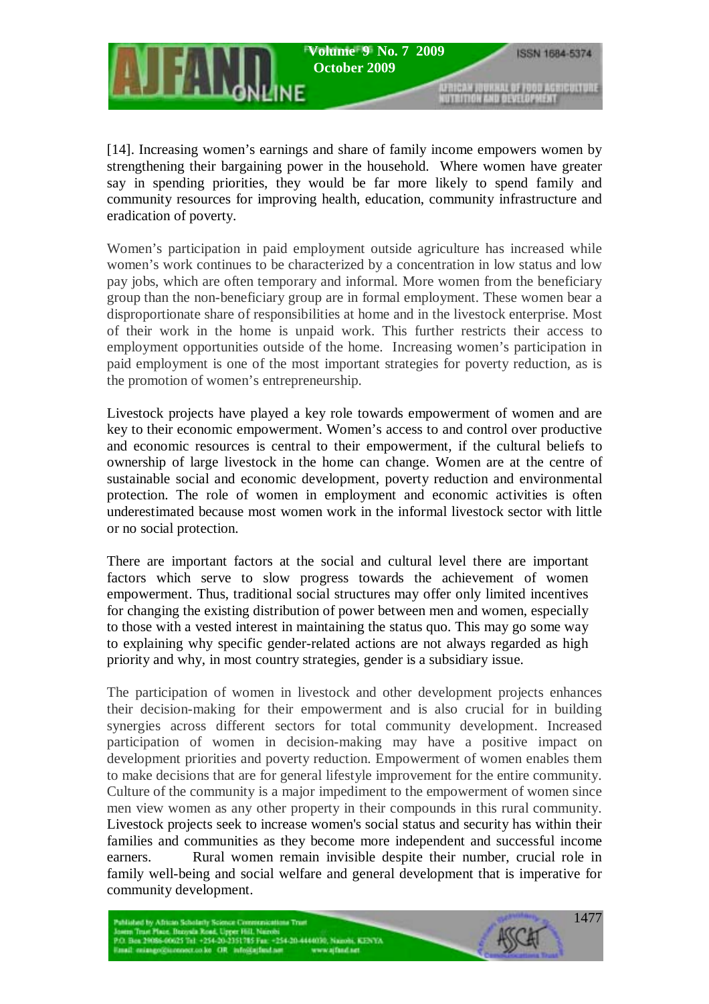

[14]. Increasing women's earnings and share of family income empowers women by strengthening their bargaining power in the household. Where women have greater say in spending priorities, they would be far more likely to spend family and community resources for improving health, education, community infrastructure and eradication of poverty.

Women's participation in paid employment outside agriculture has increased while women's work continues to be characterized by a concentration in low status and low pay jobs, which are often temporary and informal. More women from the beneficiary group than the non-beneficiary group are in formal employment. These women bear a disproportionate share of responsibilities at home and in the livestock enterprise. Most of their work in the home is unpaid work. This further restricts their access to employment opportunities outside of the home. Increasing women's participation in paid employment is one of the most important strategies for poverty reduction, as is the promotion of women's entrepreneurship.

Livestock projects have played a key role towards empowerment of women and are key to their economic empowerment. Women's access to and control over productive and economic resources is central to their empowerment, if the cultural beliefs to ownership of large livestock in the home can change. Women are at the centre of sustainable social and economic development, poverty reduction and environmental protection. The role of women in employment and economic activities is often underestimated because most women work in the informal livestock sector with little or no social protection.

There are important factors at the social and cultural level there are important factors which serve to slow progress towards the achievement of women empowerment. Thus, traditional social structures may offer only limited incentives for changing the existing distribution of power between men and women, especially to those with a vested interest in maintaining the status quo. This may go some way to explaining why specific gender-related actions are not always regarded as high priority and why, in most country strategies, gender is a subsidiary issue.

The participation of women in livestock and other development projects enhances their decision-making for their empowerment and is also crucial for in building synergies across different sectors for total community development. Increased participation of women in decision-making may have a positive impact on development priorities and poverty reduction. Empowerment of women enables them to make decisions that are for general lifestyle improvement for the entire community. Culture of the community is a major impediment to the empowerment of women since men view women as any other property in their compounds in this rural community. Livestock projects seek to increase women's social status and security has within their families and communities as they become more independent and successful income earners. Rural women remain invisible despite their number, crucial role in family well-being and social welfare and general development that is imperative for community development.

Published by African Scholarly Science Communications Trust нико и Ране. Впорыв Road, Upper Hill, Nances<br>Век 29086-00025 Tal. +254-20-2351715 Fax. +254-20-4444030, Nanohi, KENYA mail mingo@icconst.co.ke OR info@iplad.net www.ajfand.net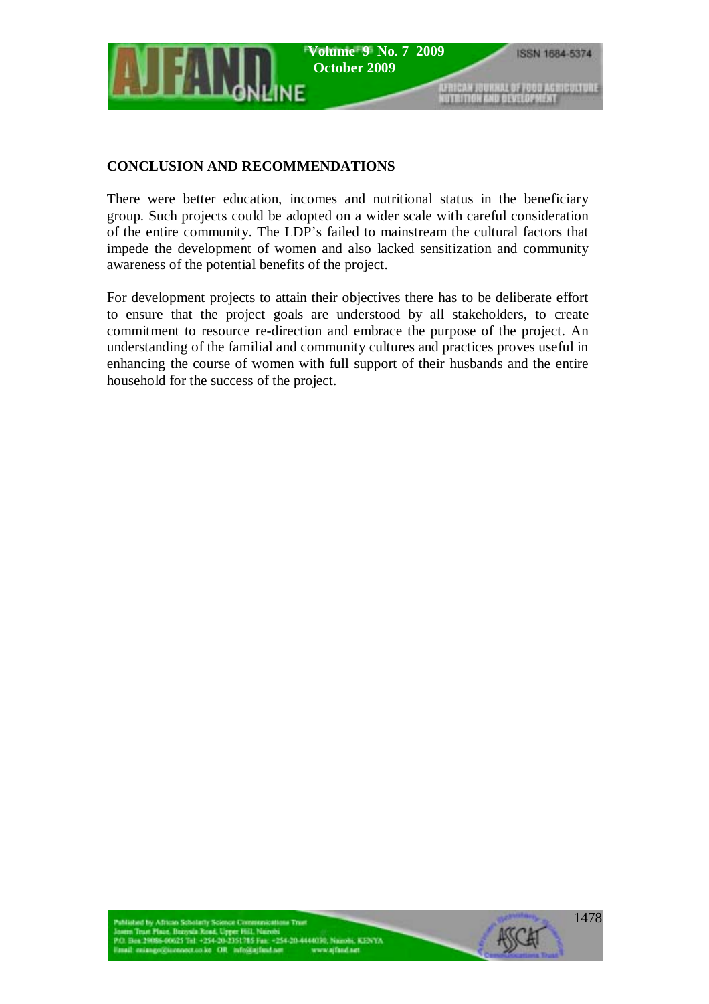

# **CONCLUSION AND RECOMMENDATIONS**

There were better education, incomes and nutritional status in the beneficiary group. Such projects could be adopted on a wider scale with careful consideration of the entire community. The LDP's failed to mainstream the cultural factors that impede the development of women and also lacked sensitization and community awareness of the potential benefits of the project.

For development projects to attain their objectives there has to be deliberate effort to ensure that the project goals are understood by all stakeholders, to create commitment to resource re-direction and embrace the purpose of the project. An understanding of the familial and community cultures and practices proves useful in enhancing the course of women with full support of their husbands and the entire household for the success of the project.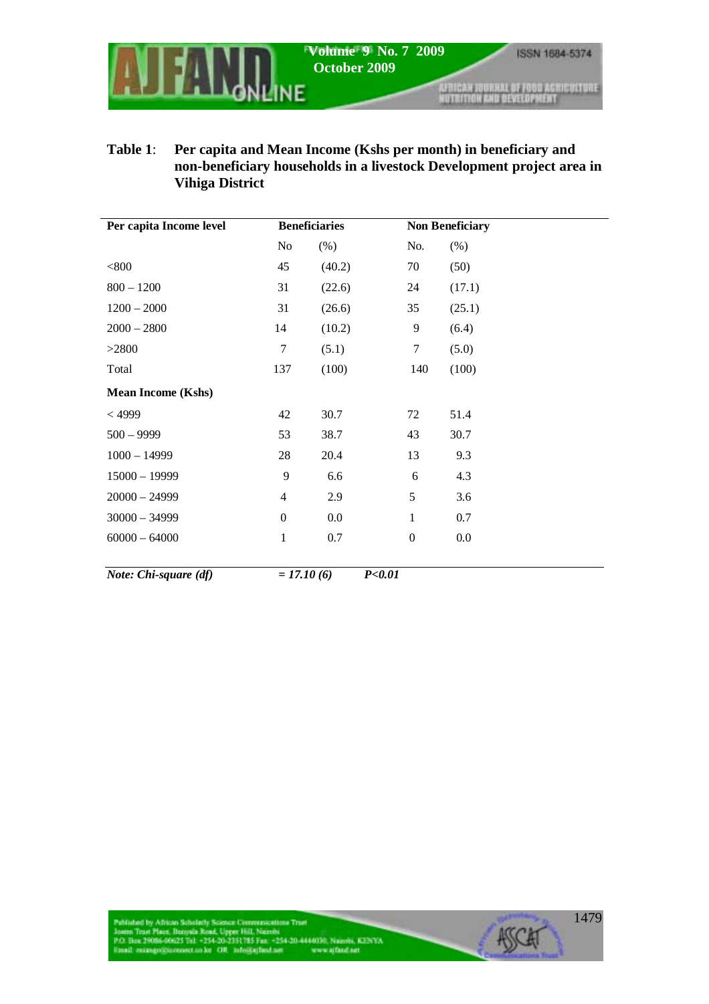

# **Table 1**: **Per capita and Mean Income (Kshs per month) in beneficiary and non-beneficiary households in a livestock Development project area in Vihiga District**

| <b>Non Beneficiary</b> |                  | <b>Beneficiaries</b> |                  | Per capita Income level   |
|------------------------|------------------|----------------------|------------------|---------------------------|
| (% )                   | No.              | $(\% )$              | N <sub>0</sub>   |                           |
| (50)                   | 70               | (40.2)               | 45               | < 800                     |
| (17.1)                 | 24               | (22.6)               | 31               | $800 - 1200$              |
| (25.1)                 | 35               | (26.6)               | 31               | $1200 - 2000$             |
| (6.4)                  | 9                | (10.2)               | 14               | $2000 - 2800$             |
| (5.0)                  | $\boldsymbol{7}$ | (5.1)                | 7                | >2800                     |
| (100)                  | 140              | (100)                | 137              | Total                     |
|                        |                  |                      |                  | <b>Mean Income (Kshs)</b> |
| 51.4                   | 72               | 30.7                 | 42               | $<$ 4999                  |
| 30.7                   | 43               | 38.7                 | 53               | $500 - 9999$              |
| 9.3                    | 13               | 20.4                 | 28               | $1000 - 14999$            |
| 4.3                    | 6                | 6.6                  | 9                | $15000 - 19999$           |
| 3.6                    | 5                | 2.9                  | $\overline{4}$   | $20000 - 24999$           |
| 0.7                    | $\mathbf{1}$     | 0.0                  | $\boldsymbol{0}$ | $30000 - 34999$           |
| 0.0                    | $\boldsymbol{0}$ | 0.7                  | $\mathbf{1}$     | $60000 - 64000$           |
|                        |                  |                      |                  |                           |

- *Note: Chi-square (df) = 17.10 (6) P<0.01* 
	-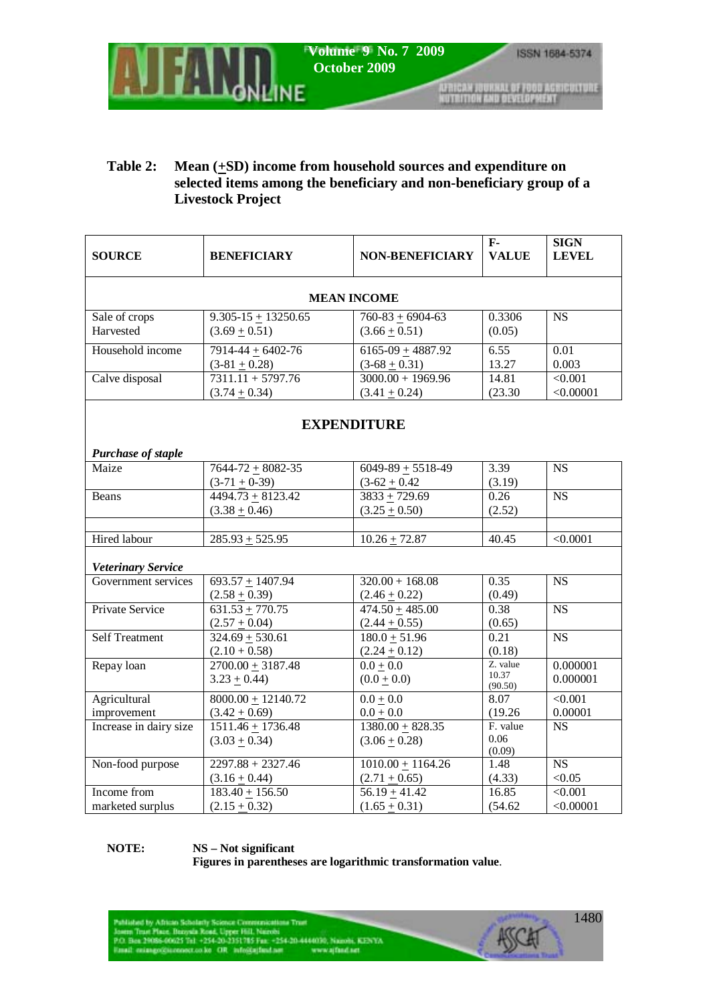

# Table 2: Mean ( $\pm$ SD) income from household sources and expenditure on **selected items among the beneficiary and non-beneficiary group of a Livestock Project**

| <b>SOURCE</b>             | <b>NON-BENEFICIARY</b><br><b>BENEFICIARY</b> |                                      | F-<br><b>VALUE</b> | <b>SIGN</b><br><b>LEVEL</b> |  |  |  |  |
|---------------------------|----------------------------------------------|--------------------------------------|--------------------|-----------------------------|--|--|--|--|
| <b>MEAN INCOME</b>        |                                              |                                      |                    |                             |  |  |  |  |
| Sale of crops             | $9.305 - 15 + 13250.65$                      | $760-83 + 6904-63$                   | 0.3306             | $\overline{\text{NS}}$      |  |  |  |  |
| Harvested                 | $(3.69 \pm 0.51)$                            | $(3.66 + 0.51)$                      | (0.05)             |                             |  |  |  |  |
| Household income          | $7914-44+6402-76$                            | $6165-09 + 4887.92$                  | 6.55               | 0.01                        |  |  |  |  |
|                           | $(3-81 + 0.28)$                              | $(3-68 + 0.31)$                      | 13.27              | 0.003                       |  |  |  |  |
| Calve disposal            | $7311.11 + 5797.76$                          | $3000.00 + 1969.96$                  | 14.81              | $\sqrt{0.001}$              |  |  |  |  |
|                           | $(3.74 \pm 0.34)$                            | $(3.41 \pm 0.24)$                    | (23.30)            | < 0.00001                   |  |  |  |  |
|                           |                                              | <b>EXPENDITURE</b>                   |                    |                             |  |  |  |  |
| <b>Purchase of staple</b> |                                              |                                      |                    |                             |  |  |  |  |
| Maize                     | $7644 - 72 + 8082 - 35$                      | $6049-89 + 5518-49$                  | 3.39               | <b>NS</b>                   |  |  |  |  |
|                           | $(3-71 + 0-39)$                              | $(3-62 + 0.42)$                      | (3.19)             |                             |  |  |  |  |
| <b>Beans</b>              | $4494.73 + 8123.42$                          | $3833 + 729.69$                      | 0.26               | $\overline{\text{NS}}$      |  |  |  |  |
|                           | $(3.38 \pm 0.46)$                            | $(3.25 \pm 0.50)$                    | (2.52)             |                             |  |  |  |  |
|                           |                                              |                                      |                    |                             |  |  |  |  |
| <b>Hired labour</b>       | $285.93 + 525.95$                            | $10.26 + 72.87$                      | 40.45              | < 0.0001                    |  |  |  |  |
| <b>Veterinary Service</b> |                                              |                                      |                    |                             |  |  |  |  |
| Government services       | $693.57 + 1407.94$                           | $320.00 + 168.08$                    | 0.35               | $\overline{\text{NS}}$      |  |  |  |  |
|                           | $(2.58 \pm 0.39)$                            | $(2.46 \pm 0.22)$                    | (0.49)             |                             |  |  |  |  |
| Private Service           | $631.53 + 770.75$                            | $474.50 + 485.00$                    | 0.38               | $\overline{\text{NS}}$      |  |  |  |  |
|                           | $(2.57 \pm 0.04)$                            | $(2.44 \pm 0.55)$                    | (0.65)             |                             |  |  |  |  |
| <b>Self Treatment</b>     | $324.69 + 530.61$                            | $180.0 + 51.96$                      | 0.21               | $\overline{\text{NS}}$      |  |  |  |  |
|                           | $(2.10 + 0.58)$                              | $(2.24 \pm 0.12)$                    | (0.18)             |                             |  |  |  |  |
| Repay loan                | $2700.00 + 3187.48$                          | $0.0 + 0.0$                          | Z. value           | 0.000001                    |  |  |  |  |
|                           | $3.23 + 0.44$                                | $(0.0 + 0.0)$                        | 10.37<br>(90.50)   | 0.000001                    |  |  |  |  |
| Agricultural              | $8000.00 + 12140.72$                         | $0.0 + 0.0$                          | 8.07               | $\sqrt{0.001}$              |  |  |  |  |
| improvement               | $(3.42 \pm 0.69)$                            | $0.0 + 0.0$                          | (19.26)            | 0.00001                     |  |  |  |  |
| Increase in dairy size    | $1511.46 + 1736.48$                          | $1380.00 + 828.35$                   | F. value           | $\overline{\text{NS}}$      |  |  |  |  |
|                           | $(3.03 + 0.34)$                              | $(3.06 + 0.28)$                      | 0.06               |                             |  |  |  |  |
|                           |                                              |                                      | (0.09)<br>1.48     | $\overline{\text{NS}}$      |  |  |  |  |
| Non-food purpose          | $2297.88 + 2327.46$                          | $1010.00 + 1164.26$                  |                    |                             |  |  |  |  |
|                           | $(3.16 \pm 0.44)$                            | $(2.71 \pm 0.65)$<br>$56.19 + 41.42$ | (4.33)             | < 0.05                      |  |  |  |  |
| Income from               | $183.40 + 156.50$                            |                                      | 16.85              | < 0.001                     |  |  |  |  |
| marketed surplus          | $(2.15 + 0.32)$                              | $(1.65 + 0.31)$                      | (54.62)            | < 0.00001                   |  |  |  |  |

#### **NOTE: NS – Not significant**

 **Figures in parentheses are logarithmic transformation value**.

Published by African Scholarly Science Communications Trust<br>Josem Trust Place, Brazysla Road, Upper Hill, Narobi<br>P.O. Bea: 20086-00025 Tel: +254-20-2351715 Fax: +254-20-4444030, Nazobi, KENYA<br>Hasal: miango@iconnect.co.ko O

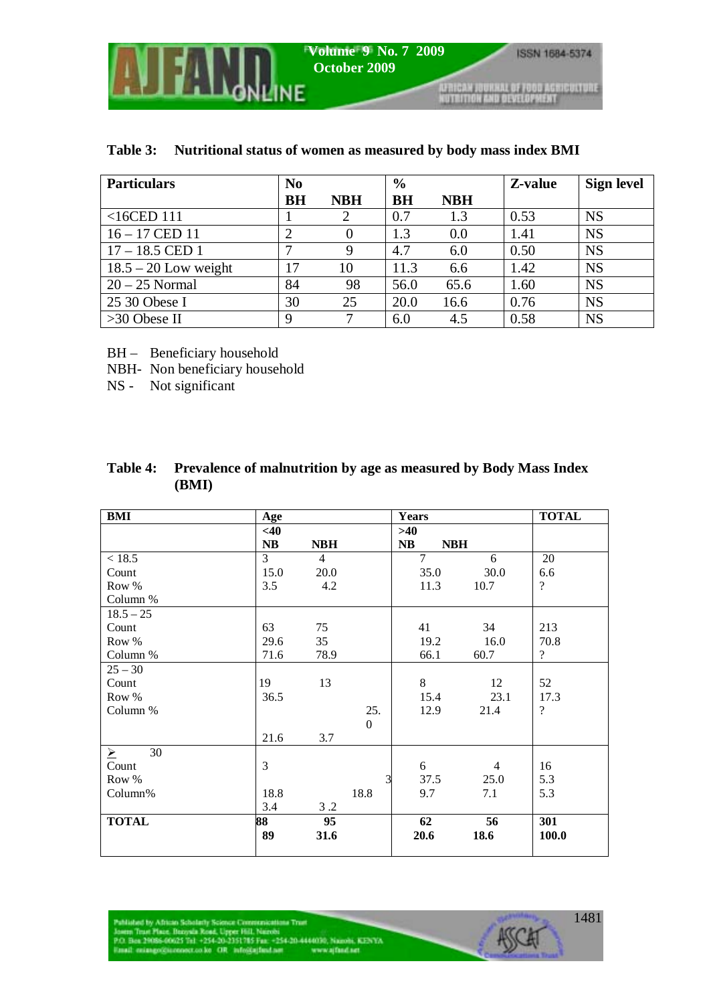| <b>Particulars</b>     | N <sub>0</sub> |            | $\frac{6}{6}$ |            | Z-value | <b>Sign level</b> |
|------------------------|----------------|------------|---------------|------------|---------|-------------------|
|                        | <b>BH</b>      | <b>NBH</b> | <b>BH</b>     | <b>NBH</b> |         |                   |
| $<$ 16CED 111          |                |            | 0.7           | 1.3        | 0.53    | <b>NS</b>         |
| $16 - 17$ CED $11$     |                |            | 1.3           | 0.0        | 1.41    | <b>NS</b>         |
| $17 - 18.5$ CED 1      |                | 9          | 4.7           | 6.0        | 0.50    | <b>NS</b>         |
| $18.5 - 20$ Low weight | 17             | 10         | 11.3          | 6.6        | 1.42    | <b>NS</b>         |
| $20 - 25$ Normal       | 84             | 98         | 56.0          | 65.6       | 1.60    | <b>NS</b>         |
| 25 30 Obese I          | 30             | 25         | 20.0          | 16.6       | 0.76    | <b>NS</b>         |
| $>30$ Obese II         | 9              |            | 6.0           | 4.5        | 0.58    | <b>NS</b>         |

 **Volume 9 No. 7 2009** 

# **Table 3: Nutritional status of women as measured by body mass index BMI**

**October 2009** 

INE

BH – Beneficiary household

 $\mathbf{A}$ 

NBH- Non beneficiary household

NS - Not significant

| Table 4: Prevalence of malnutrition by age as measured by Body Mass Index |
|---------------------------------------------------------------------------|
| (BMI)                                                                     |

| <b>BMI</b>   | <b>Age</b> |                |          | <b>Years</b>   |                | <b>TOTAL</b>             |
|--------------|------------|----------------|----------|----------------|----------------|--------------------------|
|              | <40        |                |          | $>40$          |                |                          |
|              | <b>NB</b>  | <b>NBH</b>     |          | <b>NB</b>      | <b>NBH</b>     |                          |
| < 18.5       | 3          | $\overline{4}$ |          | $\overline{7}$ | 6              | 20                       |
| Count        | 15.0       | 20.0           |          | 35.0           | 30.0           | 6.6                      |
| Row %        | 3.5        | 4.2            |          | 11.3           | 10.7           | $\overline{?}$           |
| Column %     |            |                |          |                |                |                          |
| $18.5 - 25$  |            |                |          |                |                |                          |
| Count        | 63         | 75             |          | 41             | 34             | 213                      |
| Row %        | 29.6       | 35             |          | 19.2           | 16.0           | 70.8                     |
| Column %     | 71.6       | 78.9           |          | 66.1           | 60.7           | $\overline{\mathcal{L}}$ |
| $25 - 30$    |            |                |          |                |                |                          |
| Count        | 19         | 13             |          | 8              | 12             | 52                       |
| Row %        | 36.5       |                |          | 15.4           | 23.1           | 17.3                     |
| Column %     |            |                | 25.      | 12.9           | 21.4           | $\overline{\mathcal{L}}$ |
|              |            |                | $\theta$ |                |                |                          |
|              | 21.6       | 3.7            |          |                |                |                          |
| 30<br>$\geq$ |            |                |          |                |                |                          |
| Count        | 3          |                |          | 6              | $\overline{4}$ | 16                       |
| Row %        |            |                | 3        | 37.5           | 25.0           | 5.3                      |
| Column%      | 18.8       |                | 18.8     | 9.7            | 7.1            | 5.3                      |
|              | 3.4        | 3.2            |          |                |                |                          |
| <b>TOTAL</b> | 88         | 95             |          | 62             | 56             | 301                      |
|              | 89         | 31.6           |          | 20.6           | 18.6           | 100.0                    |
|              |            |                |          |                |                |                          |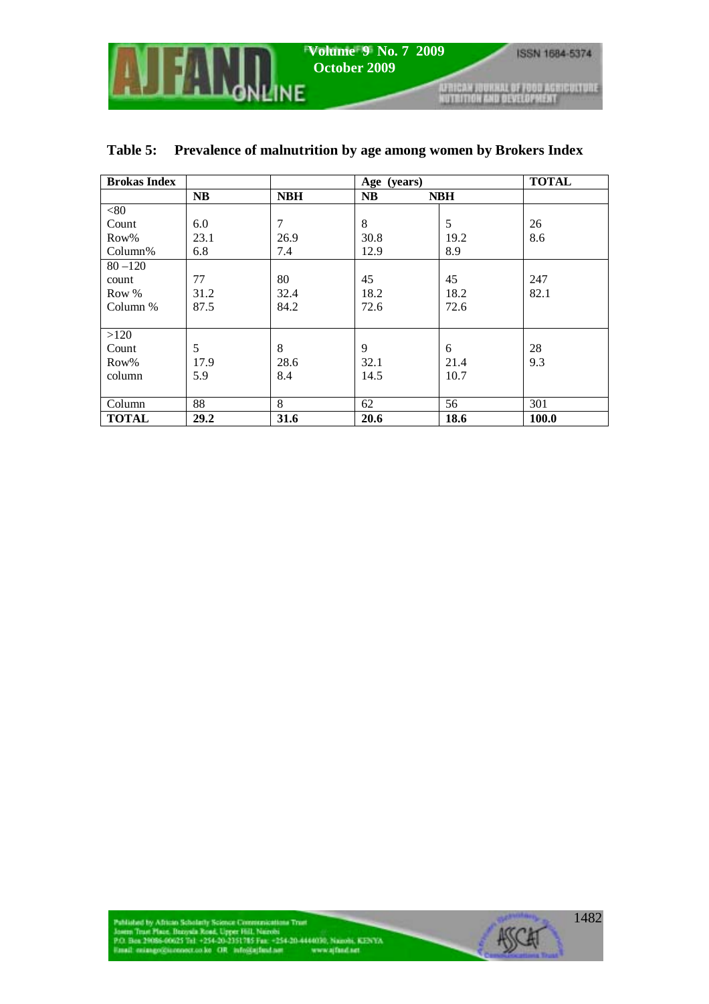AFRICAN JOURNAL OF FOOD AGRICULTURE<br>NUTRITION AND OEVELOPMENT

| <b>Brokas Index</b> |      |            | Age (years) |            | <b>TOTAL</b> |
|---------------------|------|------------|-------------|------------|--------------|
|                     | NB   | <b>NBH</b> | NB          | <b>NBH</b> |              |
| < 80                |      |            |             |            |              |
| Count               | 6.0  | 7          | 8           | 5          | 26           |
| Row%                | 23.1 | 26.9       | 30.8        | 19.2       | 8.6          |
| Column%             | 6.8  | 7.4        | 12.9        | 8.9        |              |
| $80 - 120$          |      |            |             |            |              |
| count               | 77   | 80         | 45          | 45         | 247          |
| Row %               | 31.2 | 32.4       | 18.2        | 18.2       | 82.1         |
| Column %            | 87.5 | 84.2       | 72.6        | 72.6       |              |
|                     |      |            |             |            |              |
| >120                |      |            |             |            |              |
| Count               | 5    | 8          | 9           | 6          | 28           |
| $Row\%$             | 17.9 | 28.6       | 32.1        | 21.4       | 9.3          |
| column              | 5.9  | 8.4        | 14.5        | 10.7       |              |
|                     |      |            |             |            |              |
| Column              | 88   | 8          | 62          | 56         | 301          |
| <b>TOTAL</b>        | 29.2 | 31.6       | 20.6        | 18.6       | 100.0        |

## **Table 5: Prevalence of malnutrition by age among women by Brokers Index**

TAN,



ASC